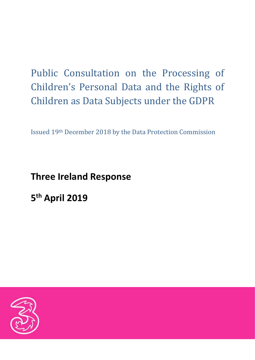# Public Consultation on the Processing of Children's Personal Data and the Rights of Children as Data Subjects under the GDPR

Issued 19th December 2018 by the Data Protection Commission

## **Three Ireland Response**

**5 th April 2019**

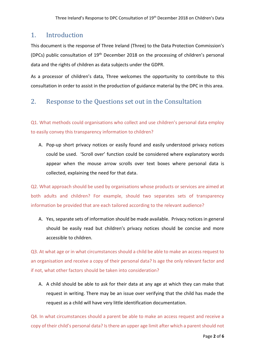## 1. Introduction

This document is the response of Three Ireland (Three) to the Data Protection Commission's (DPCs) public consultation of  $19<sup>th</sup>$  December 2018 on the processing of children's personal data and the rights of children as data subjects under the GDPR.

As a processor of children's data, Three welcomes the opportunity to contribute to this consultation in order to assist in the production of guidance material by the DPC in this area.

## 2. Response to the Questions set out in the Consultation

Q1. What methods could organisations who collect and use children's personal data employ to easily convey this transparency information to children?

A. Pop-up short privacy notices or easily found and easily understood privacy notices could be used. 'Scroll over' function could be considered where explanatory words appear when the mouse arrow scrolls over text boxes where personal data is collected, explaining the need for that data.

Q2. What approach should be used by organisations whose products or services are aimed at both adults and children? For example, should two separates sets of transparency information be provided that are each tailored according to the relevant audience?

A. Yes, separate sets of information should be made available. Privacy notices in general should be easily read but children's privacy notices should be concise and more accessible to children.

Q3. At what age or in what circumstances should a child be able to make an access request to an organisation and receive a copy of their personal data? Is age the only relevant factor and if not, what other factors should be taken into consideration?

A. A child should be able to ask for their data at any age at which they can make that request in writing. There may be an issue over verifying that the child has made the request as a child will have very little identification documentation.

Q4. In what circumstances should a parent be able to make an access request and receive a copy of their child's personal data? Is there an upper age limit after which a parent should not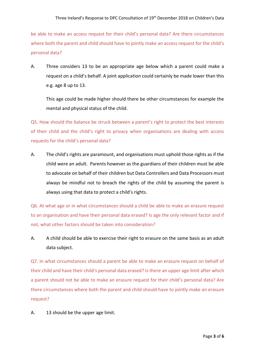be able to make an access request for their child's personal data? Are there circumstances where both the parent and child should have to jointly make an access request for the child's personal data?

A. Three considers 13 to be an appropriate age below which a parent could make a request on a child's behalf. A joint application could certainly be made lower than this e.g. age 8 up to 13.

This age could be made higher should there be other circumstances for example the mental and physical status of the child.

Q5. How should the balance be struck between a parent's right to protect the best interests of their child and the child's right to privacy when organisations are dealing with access requests for the child's personal data?

A. The child's rights are paramount, and organisations must uphold those rights as if the child were an adult. Parents however as the guardians of their children must be able to advocate on behalf of their children but Data Controllers and Data Processors must always be mindful not to breach the rights of the child by assuming the parent is always using that data to protect a child's rights.

Q6. At what age or in what circumstances should a child be able to make an erasure request to an organisation and have their personal data erased? Is age the only relevant factor and if not, what other factors should be taken into consideration?

A. A child should be able to exercise their right to erasure on the same basis as an adult data subject.

Q7. In what circumstances should a parent be able to make an erasure request on behalf of their child and have their child's personal data erased? Is there an upper age limit after which a parent should not be able to make an erasure request for their child's personal data? Are there circumstances where both the parent and child should have to jointly make an erasure request?

A. 13 should be the upper age limit.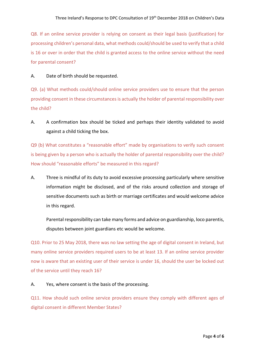Q8. If an online service provider is relying on consent as their legal basis (justification) for processing children's personal data, what methods could/should be used to verify that a child is 16 or over in order that the child is granted access to the online service without the need for parental consent?

### A. Date of birth should be requested.

Q9. (a) What methods could/should online service providers use to ensure that the person providing consent in these circumstances is actually the holder of parental responsibility over the child?

A. A confirmation box should be ticked and perhaps their identity validated to avoid against a child ticking the box.

Q9 (b) What constitutes a "reasonable effort" made by organisations to verify such consent is being given by a person who is actually the holder of parental responsibility over the child? How should "reasonable efforts" be measured in this regard?

A. Three is mindful of its duty to avoid excessive processing particularly where sensitive information might be disclosed, and of the risks around collection and storage of sensitive documents such as birth or marriage certificates and would welcome advice in this regard.

Parental responsibility can take many forms and advice on guardianship, loco parentis, disputes between joint guardians etc would be welcome.

Q10. Prior to 25 May 2018, there was no law setting the age of digital consent in Ireland, but many online service providers required users to be at least 13. If an online service provider now is aware that an existing user of their service is under 16, should the user be locked out of the service until they reach 16?

## A. Yes, where consent is the basis of the processing.

Q11. How should such online service providers ensure they comply with different ages of digital consent in different Member States?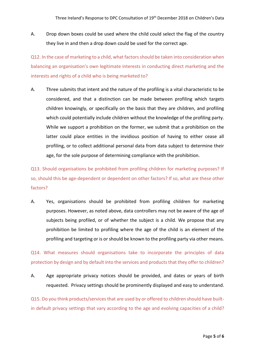A. Drop down boxes could be used where the child could select the flag of the country they live in and then a drop down could be used for the correct age.

Q12. In the case of marketing to a child, what factors should be taken into consideration when balancing an organisation's own legitimate interests in conducting direct marketing and the interests and rights of a child who is being marketed to?

A. Three submits that intent and the nature of the profiling is a vital characteristic to be considered, and that a distinction can be made between profiling which targets children knowingly, or specifically on the basis that they are children, and profiling which could potentially include children without the knowledge of the profiling party. While we support a prohibition on the former, we submit that a prohibition on the latter could place entities in the invidious position of having to either cease all profiling, or to collect additional personal data from data subject to determine their age, for the sole purpose of determining compliance with the prohibition.

Q13. Should organisations be prohibited from profiling children for marketing purposes? If so, should this be age-dependent or dependent on other factors? If so, what are these other factors?

A. Yes, organisations should be prohibited from profiling children for marketing purposes. However, as noted above, data controllers may not be aware of the age of subjects being profiled, or of whether the subject is a child. We propose that any prohibition be limited to profiling where the age of the child is an element of the profiling and targeting or is or should be known to the profiling party via other means.

Q14. What measures should organisations take to incorporate the principles of data protection by design and by default into the services and products that they offer to children?

A. Age appropriate privacy notices should be provided, and dates or years of birth requested. Privacy settings should be prominently displayed and easy to understand.

Q15. Do you think products/services that are used by or offered to children should have builtin default privacy settings that vary according to the age and evolving capacities of a child?